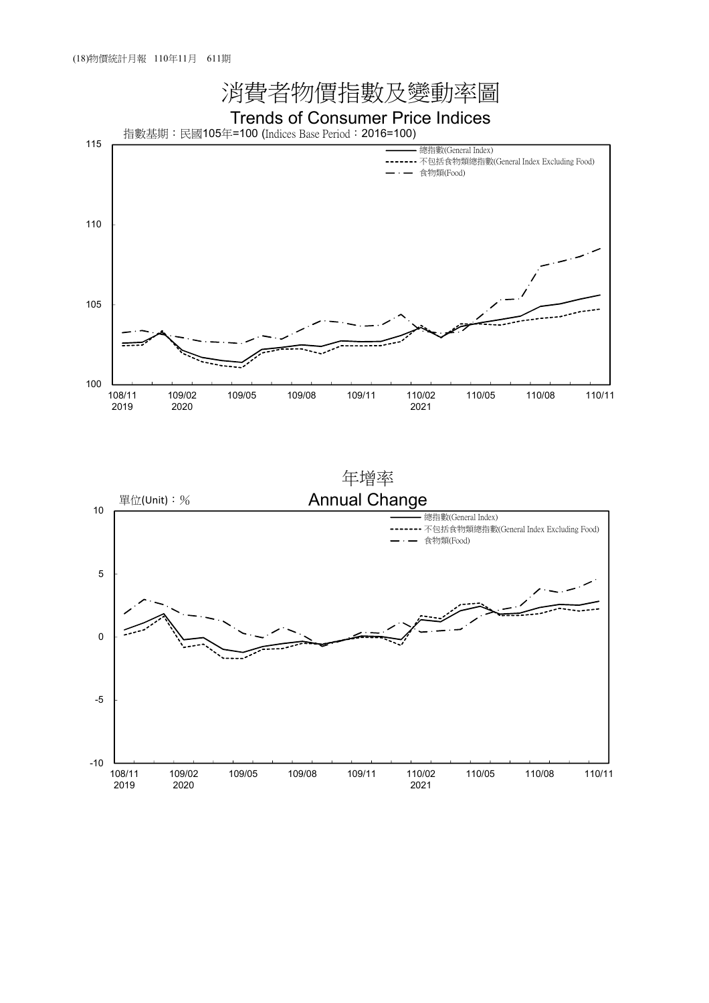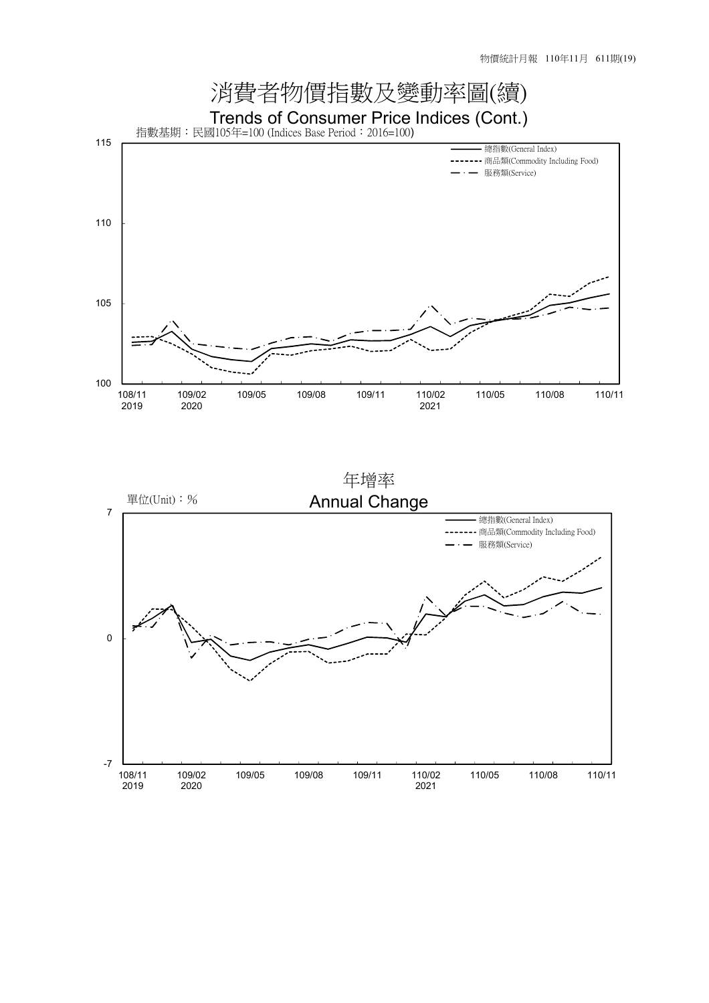